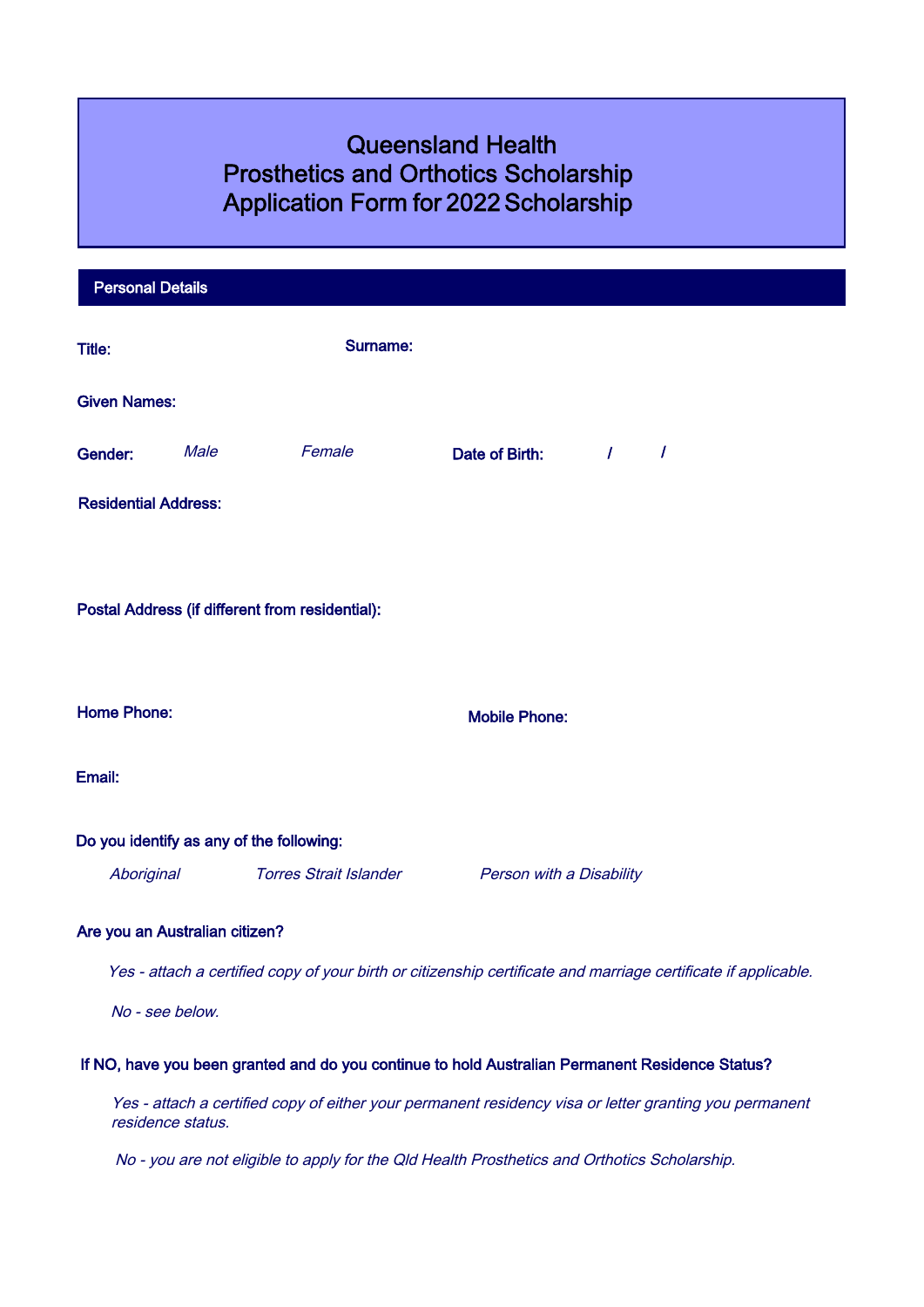# Queensland Health Prosthetics and Orthotics Scholarship Application Form for 2022 Scholarship

|                                                                                                                | <b>Personal Details</b>                                                                                                     |                                |                                                                                                 |                          |                             |                |  |  |  |
|----------------------------------------------------------------------------------------------------------------|-----------------------------------------------------------------------------------------------------------------------------|--------------------------------|-------------------------------------------------------------------------------------------------|--------------------------|-----------------------------|----------------|--|--|--|
| Title:                                                                                                         |                                                                                                                             |                                | <b>Surname:</b>                                                                                 |                          |                             |                |  |  |  |
|                                                                                                                | <b>Given Names:</b>                                                                                                         |                                |                                                                                                 |                          |                             |                |  |  |  |
| Gender:                                                                                                        |                                                                                                                             | Male                           | Female                                                                                          | Date of Birth:           | $\mathcal{L} = \mathcal{L}$ | $\overline{I}$ |  |  |  |
|                                                                                                                | <b>Residential Address:</b>                                                                                                 |                                |                                                                                                 |                          |                             |                |  |  |  |
|                                                                                                                |                                                                                                                             |                                |                                                                                                 |                          |                             |                |  |  |  |
| Postal Address (if different from residential):                                                                |                                                                                                                             |                                |                                                                                                 |                          |                             |                |  |  |  |
|                                                                                                                |                                                                                                                             |                                |                                                                                                 |                          |                             |                |  |  |  |
| <b>Home Phone:</b>                                                                                             |                                                                                                                             |                                | <b>Mobile Phone:</b>                                                                            |                          |                             |                |  |  |  |
| Email:                                                                                                         |                                                                                                                             |                                |                                                                                                 |                          |                             |                |  |  |  |
|                                                                                                                |                                                                                                                             |                                | Do you identify as any of the following:                                                        |                          |                             |                |  |  |  |
|                                                                                                                | Aboriginal                                                                                                                  |                                | <b>Torres Strait Islander</b>                                                                   | Person with a Disability |                             |                |  |  |  |
|                                                                                                                |                                                                                                                             | Are you an Australian citizen? |                                                                                                 |                          |                             |                |  |  |  |
| Yes - attach a certified copy of your birth or citizenship certificate and marriage certificate if applicable. |                                                                                                                             |                                |                                                                                                 |                          |                             |                |  |  |  |
|                                                                                                                | No - see below.                                                                                                             |                                |                                                                                                 |                          |                             |                |  |  |  |
|                                                                                                                |                                                                                                                             |                                | If NO, have you been granted and do you continue to hold Australian Permanent Residence Status? |                          |                             |                |  |  |  |
|                                                                                                                | Yes - attach a certified copy of either your permanent residency visa or letter granting you permanent<br>residence status. |                                |                                                                                                 |                          |                             |                |  |  |  |
|                                                                                                                | No - you are not eligible to apply for the Qld Health Prosthetics and Orthotics Scholarship.                                |                                |                                                                                                 |                          |                             |                |  |  |  |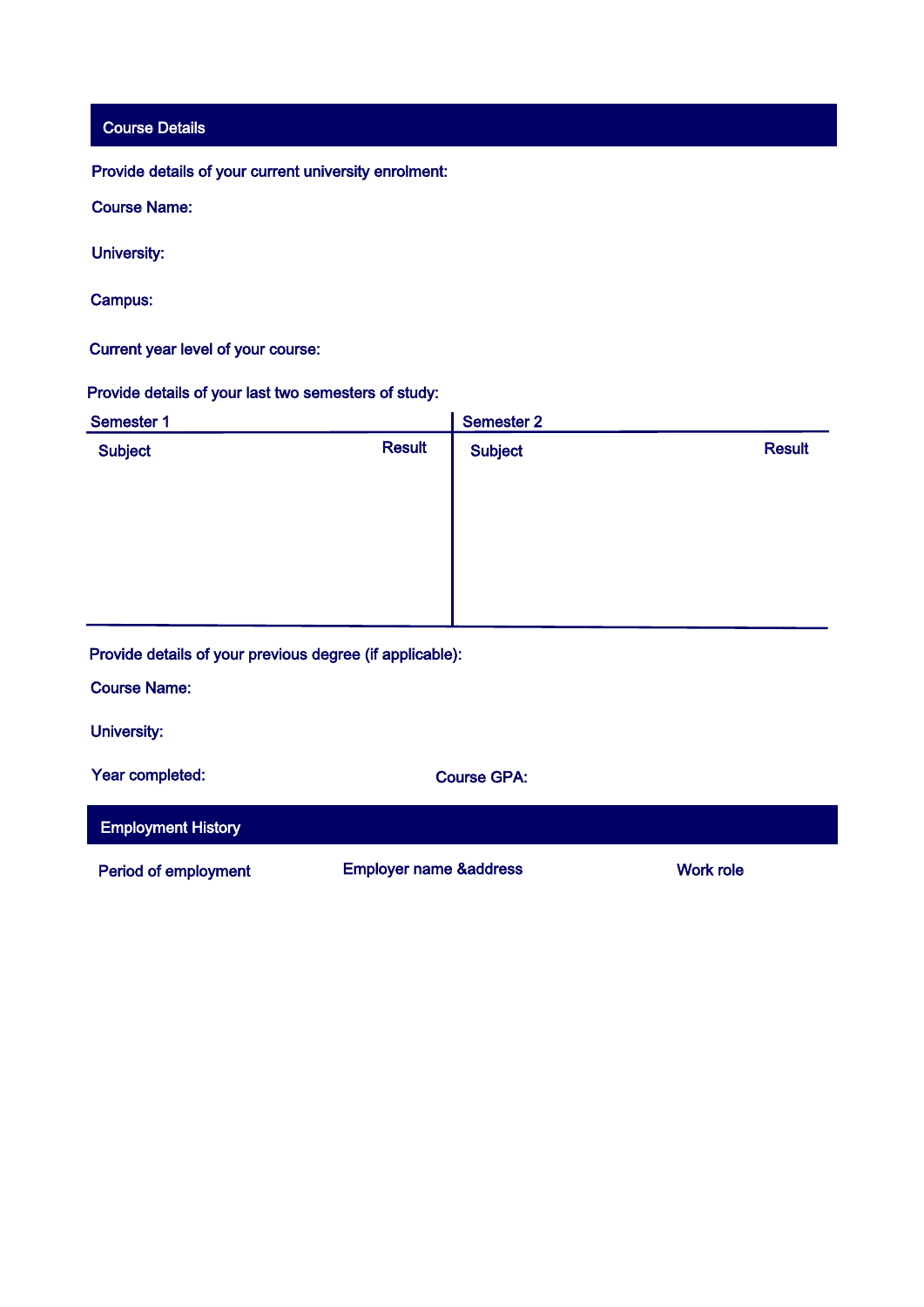Course Details

Provide details of your current university enrolment:

Course Name:

University:

Campus:

Current year level of your course:

Provide details of your last two semesters of study:

| <b>Semester 1</b> |               | Semester 2     |               |
|-------------------|---------------|----------------|---------------|
| <b>Subject</b>    | <b>Result</b> | <b>Subject</b> | <b>Result</b> |
|                   |               |                |               |
|                   |               |                |               |
|                   |               |                |               |
|                   |               |                |               |
|                   |               |                |               |

Provide details of your previous degree (if applicable):

Course Name:

University:

Year completed: Course GPA:

Employment History

Period of employment Employer name &address Work role